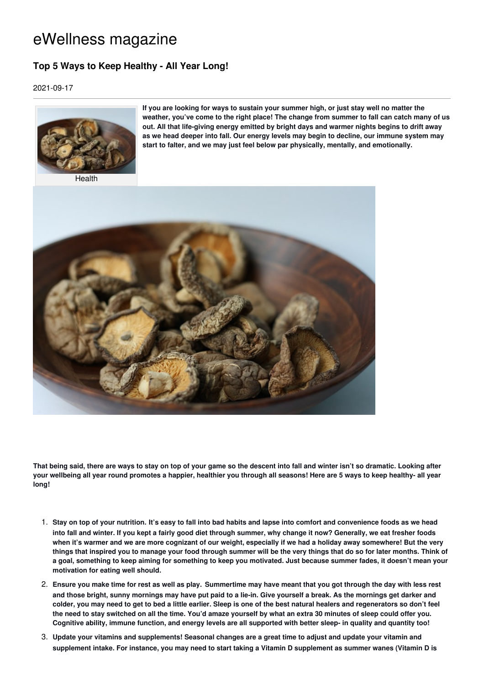## eWellness magazine

## **Top 5 Ways to Keep Healthy - All Year Long!**

2021-09-17



Health

**If you are looking for ways to sustain your summer high, or just stay well no matter the weather, you've come to the right place! The change from summer to fall can catch many of us out. All that life-giving energy emitted by bright days and warmer nights begins to drift away as we head deeper into fall. Our energy levels may begin to decline, our immune system may start to falter, and we may just feel below par physically, mentally, and emotionally.**



That being said, there are ways to stay on top of your game so the descent into fall and winter isn't so dramatic. Looking after your wellbeing all year round promotes a happier, healthier you through all seasons! Here are 5 ways to keep healthy- all year **long!**

- 1. Stay on top of your nutrition. It's easy to fall into bad habits and lapse into comfort and convenience foods as we head into fall and winter. If you kept a fairly good diet through summer, why change it now? Generally, we eat fresher foods when it's warmer and we are more cognizant of our weight, especially if we had a holiday away somewhere! But the very things that inspired you to manage your food through summer will be the very things that do so for later months. Think of a goal, something to keep aiming for something to keep you motivated. Just because summer fades, it doesn't mean your **motivation for eating well should.**
- 2. Ensure you make time for rest as well as play. Summertime may have meant that you got through the day with less rest and those bright, sunny mornings may have put paid to a lie-in. Give yourself a break. As the mornings get darker and colder, you may need to get to bed a little earlier. Sleep is one of the best natural healers and regenerators so don't feel the need to stay switched on all the time. You'd amaze yourself by what an extra 30 minutes of sleep could offer you. Cognitive ability, immune function, and energy levels are all supported with better sleep- in quality and quantity too!
- 3. Update your vitamins and supplements! Seasonal changes are a great time to adjust and update your vitamin and supplement intake. For instance, you may need to start taking a Vitamin D supplement as summer wanes (Vitamin D is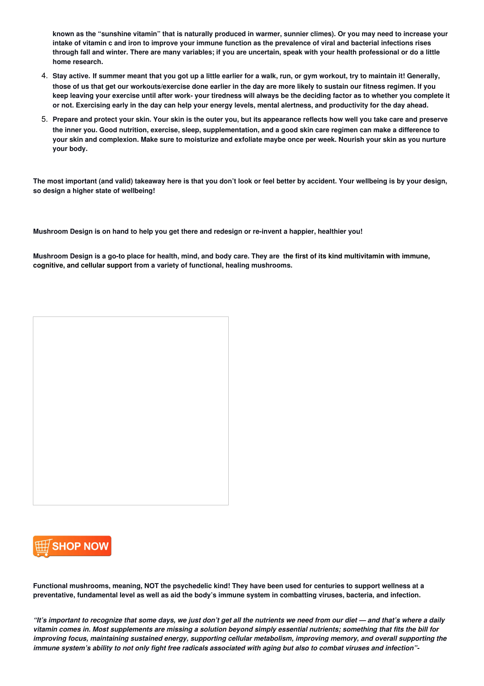known as the "sunshine vitamin" that is naturally produced in warmer, sunnier climes). Or you may need to increase your intake of vitamin c and iron to improve your immune function as the prevalence of viral and bacterial infections rises through fall and winter. There are many variables; if you are uncertain, speak with your health professional or do a little **home research.**

- 4. Stay active. If summer meant that you got up a little earlier for a walk, run, or gym workout, try to maintain it! Generally, those of us that get our workouts/exercise done earlier in the day are more likely to sustain our fitness regimen. If you keep leaving your exercise until after work- your tiredness will always be the deciding factor as to whether you complete it or not. Exercising early in the day can help your energy levels, mental alertness, and productivity for the day ahead.
- 5. Prepare and protect your skin. Your skin is the outer you, but its appearance reflects how well you take care and preserve the inner you. Good nutrition, exercise, sleep, supplementation, and a good skin care regimen can make a difference to your skin and complexion. Make sure to moisturize and exfoliate maybe once per week. Nourish your skin as you nurture **your body.**

The most important (and valid) takeaway here is that you don't look or feel better by accident. Your wellbeing is by your design, **so design a higher state of wellbeing!**

Mushroom Design is on hand to help you get there and redesign or re-invent a happier, healthier you!

Mushroom Design is a go-to place for health, mind, and body care. They are [the](http://www.amazon.com/gp/product/B08SVB7851/ref=as_li_qf_asin_il_tl?ie=UTF8&tag=wellnessmagaz-20&creative=9325&linkCode=as2&creativeASIN=B08SVB7851&linkId=850fce02753482fcbd6d1a6ea7681917) first of its kind multivitamin with immune. **cognitive, and cellular support from a variety of functional, healing [mushrooms.](http://www.amazon.com/gp/product/B08SVB7851/ref=as_li_qf_asin_il_tl?ie=UTF8&tag=wellnessmagaz-20&creative=9325&linkCode=as2&creativeASIN=B08SVB7851&linkId=850fce02753482fcbd6d1a6ea7681917)**





Functional mushrooms, meaning, NOT the psychedelic kind! They have been used for centuries to support wellness at a preventative, fundamental level as well as aid the body's immune system in combatting viruses, bacteria, and infection.

"It's important to recognize that some days, we just don't get all the nutrients we need from our diet — and that's where a daily vitamin comes in. Most supplements are missing a solution beyond simply essential nutrients; something that fits the bill for *improving focus, maintaining sustained energy, supporting cellular metabolism, improving memory, and overall supporting the* immune system's ability to not only fight free radicals associated with aging but also to combat viruses and infection"-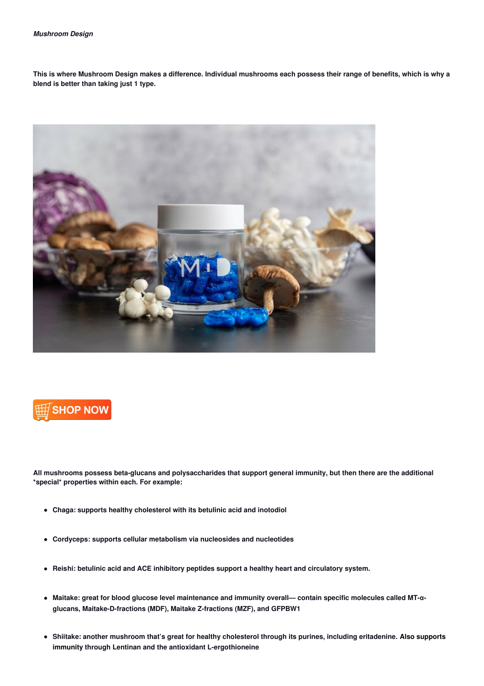This is where Mushroom Design makes a difference. Individual mushrooms each possess their range of benefits, which is why a **blend is better than taking just 1 type.**





All mushrooms possess beta-glucans and polysaccharides that support general immunity, but then there are the additional **\*special\* properties within each. For example:**

- **Chaga: supports healthy cholesterol with its betulinic acid and inotodiol**
- **Cordyceps: supports cellular metabolism via nucleosides and nucleotides**
- **Reishi: betulinic acid and ACE inhibitory peptides support a healthy heart and circulatory system.**
- Maitake: great for blood glucose level maintenance and immunity overall— contain specific molecules called MT- $\alpha$ **glucans, Maitake-D-fractions (MDF), Maitake Z-fractions (MZF), and GFPBW1**
- Shiitake: another mushroom that's great for healthy cholesterol through its purines, including eritadenine. Also supports **immunity through Lentinan and the antioxidant [L-ergothioneine](http://www.amazon.com/gp/product/B08SVB7851/ref=as_li_qf_asin_il_tl?ie=UTF8&tag=wellnessmagaz-20&creative=9325&linkCode=as2&creativeASIN=B08SVB7851&linkId=850fce02753482fcbd6d1a6ea7681917)**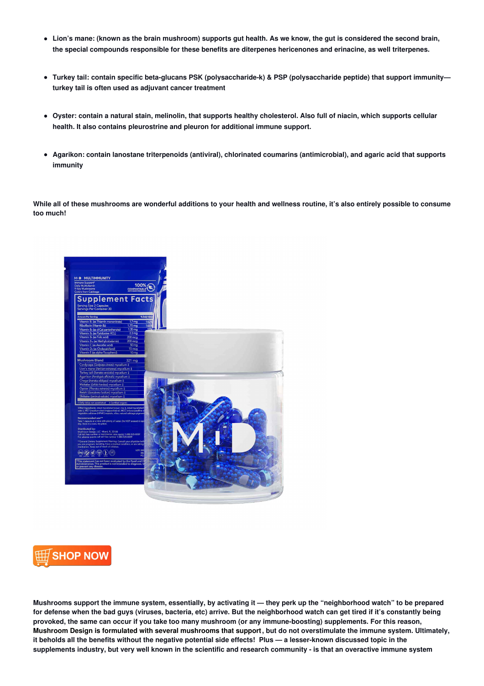- Lion's mane: (known as the brain mushroom) supports gut health. As we know, the gut is considered the second brain, **the special compounds responsible for these benefits are diterpenes hericenones and erinacine, as well triterpenes.**
- **Turkey tail: contain specific beta-glucans PSK (polysaccharide-k) & PSP (polysaccharide peptide) that support immunity turkey tail is often used as adjuvant cancer treatment**
- Oyster: contain a natural stain, melinolin, that supports healthy cholesterol. Also full of niacin, which supports cellular **health. It also contains pleurostrine and pleuron for additional immune support.**
- **Agarikon: contain lanostane triterpenoids (antiviral), chlorinated coumarins (antimicrobial), and agaric acid that supports immunity**

While all of these mushrooms are wonderful additions to your health and wellness routine, it's also entirely possible to consume **too much!**





Mushrooms support the immune system, essentially, by activating it - they perk up the "neighborhood watch" to be prepared for defense when the bad guys (viruses, bacteria, etc) arrive. But the neighborhood watch can get tired if it's constantly being provoked, the same can occur if you take too many mushroom (or any immune-boosting) supplements. For this reason, Mushroom Design is formulated with several [mushrooms](http://www.amazon.com/gp/product/B08SVB7851/ref=as_li_qf_asin_il_tl?ie=UTF8&tag=wellnessmagaz-20&creative=9325&linkCode=as2&creativeASIN=B08SVB7851&linkId=850fce02753482fcbd6d1a6ea7681917) that support, but do not overstimulate the immune system. Ultimately, it beholds all the benefits without the negative potential side effects! Plus - a lesser-known discussed topic in the supplements industry, but very well known in the scientific and research community - is that an overactive immune system